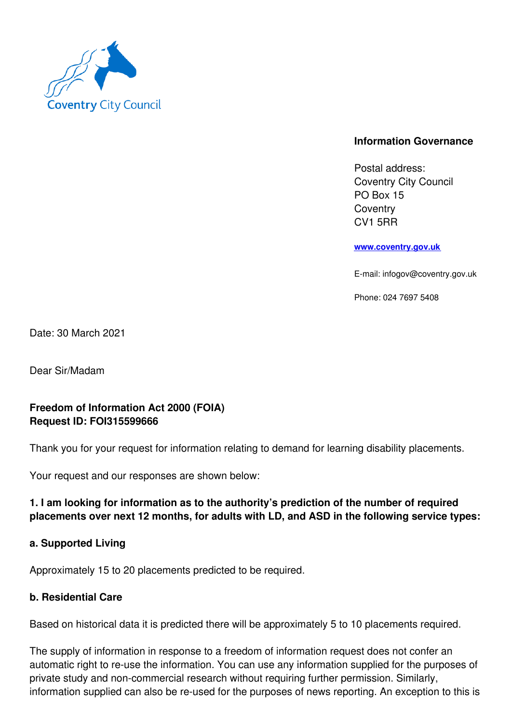

## **Information Governance**

Postal address: Coventry City Council PO Box 15 **Coventry** CV1 5RR

**www.coventry.gov.uk**

E-mail: infogov@coventry.gov.uk

Phone: 024 7697 5408

Date: 30 March 2021

Dear Sir/Madam

# **Freedom of Information Act 2000 (FOIA) Request ID: FOI315599666**

Thank you for your request for information relating to demand for learning disability placements.

Your request and our responses are shown below:

# **1. I am looking for information as to the authority's prediction of the number of required placements over next 12 months, for adults with LD, and ASD in the following service types:**

### **a. Supported Living**

Approximately 15 to 20 placements predicted to be required.

### **b. Residential Care**

Based on historical data it is predicted there will be approximately 5 to 10 placements required.

The supply of information in response to a freedom of information request does not confer an automatic right to re-use the information. You can use any information supplied for the purposes of private study and non-commercial research without requiring further permission. Similarly, information supplied can also be re-used for the purposes of news reporting. An exception to this is